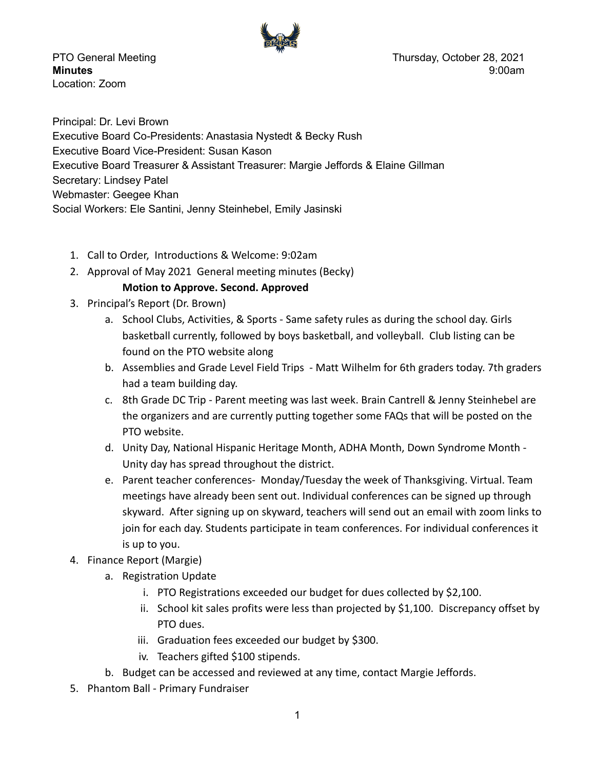

Location: Zoom

PTO General Meeting **Thursday, October 28, 2021 Minutes** 9:00am

Principal: Dr. Levi Brown Executive Board Co-Presidents: Anastasia Nystedt & Becky Rush Executive Board Vice-President: Susan Kason Executive Board Treasurer & Assistant Treasurer: Margie Jeffords & Elaine Gillman Secretary: Lindsey Patel Webmaster: Geegee Khan Social Workers: Ele Santini, Jenny Steinhebel, Emily Jasinski

- 1. Call to Order, Introductions & Welcome: 9:02am
- 2. Approval of May 2021 General meeting minutes (Becky)

## **Motion to Approve. Second. Approved**

- 3. Principal's Report (Dr. Brown)
	- a. School Clubs, Activities, & Sports Same safety rules as during the school day. Girls basketball currently, followed by boys basketball, and volleyball. Club listing can be found on the PTO website along
	- b. Assemblies and Grade Level Field Trips Matt Wilhelm for 6th graders today. 7th graders had a team building day.
	- c. 8th Grade DC Trip Parent meeting was last week. Brain Cantrell & Jenny Steinhebel are the organizers and are currently putting together some FAQs that will be posted on the PTO website.
	- d. Unity Day, National Hispanic Heritage Month, ADHA Month, Down Syndrome Month Unity day has spread throughout the district.
	- e. Parent teacher conferences- Monday/Tuesday the week of Thanksgiving. Virtual. Team meetings have already been sent out. Individual conferences can be signed up through skyward. After signing up on skyward, teachers will send out an email with zoom links to join for each day. Students participate in team conferences. For individual conferences it is up to you.
- 4. Finance Report (Margie)
	- a. Registration Update
		- i. PTO Registrations exceeded our budget for dues collected by \$2,100.
		- ii. School kit sales profits were less than projected by \$1,100. Discrepancy offset by PTO dues.
		- iii. Graduation fees exceeded our budget by \$300.
		- iv. Teachers gifted \$100 stipends.
	- b. Budget can be accessed and reviewed at any time, contact Margie Jeffords.
- 5. Phantom Ball Primary Fundraiser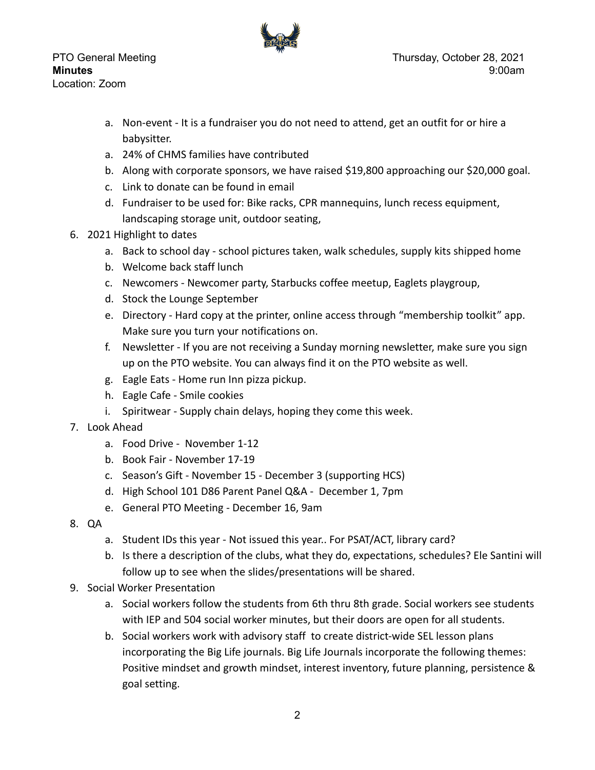Location: Zoom



- a. Non-event It is a fundraiser you do not need to attend, get an outfit for or hire a babysitter.
- a. 24% of CHMS families have contributed
- b. Along with corporate sponsors, we have raised \$19,800 approaching our \$20,000 goal.
- c. Link to donate can be found in email
- d. Fundraiser to be used for: Bike racks, CPR mannequins, lunch recess equipment, landscaping storage unit, outdoor seating,
- 6. 2021 Highlight to dates
	- a. Back to school day school pictures taken, walk schedules, supply kits shipped home
	- b. Welcome back staff lunch
	- c. Newcomers Newcomer party, Starbucks coffee meetup, Eaglets playgroup,
	- d. Stock the Lounge September
	- e. Directory Hard copy at the printer, online access through "membership toolkit" app. Make sure you turn your notifications on.
	- f. Newsletter If you are not receiving a Sunday morning newsletter, make sure you sign up on the PTO website. You can always find it on the PTO website as well.
	- g. Eagle Eats Home run Inn pizza pickup.
	- h. Eagle Cafe Smile cookies
	- i. Spiritwear Supply chain delays, hoping they come this week.
- 7. Look Ahead
	- a. Food Drive November 1-12
	- b. Book Fair November 17-19
	- c. Season's Gift November 15 December 3 (supporting HCS)
	- d. High School 101 D86 Parent Panel Q&A December 1, 7pm
	- e. General PTO Meeting December 16, 9am
- 8. QA
	- a. Student IDs this year Not issued this year.. For PSAT/ACT, library card?
	- b. Is there a description of the clubs, what they do, expectations, schedules? Ele Santini will follow up to see when the slides/presentations will be shared.
- 9. Social Worker Presentation
	- a. Social workers follow the students from 6th thru 8th grade. Social workers see students with IEP and 504 social worker minutes, but their doors are open for all students.
	- b. Social workers work with advisory staff to create district-wide SEL lesson plans incorporating the Big Life journals. Big Life Journals incorporate the following themes: Positive mindset and growth mindset, interest inventory, future planning, persistence & goal setting.